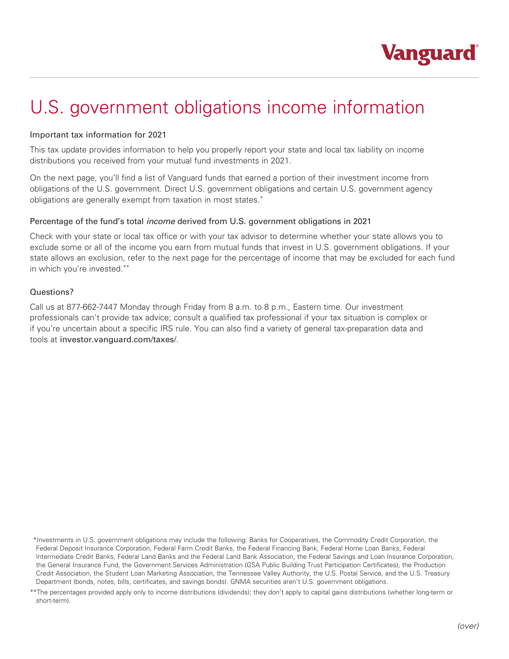

## U.S. government obligations income information

## Important tax information for 2021

This tax update provides information to help you properly report your state and local tax liability on income distributions you received from your mutual fund investments in 2021.

On the next page, you'll find a list of Vanguard funds that earned a portion of their investment income from obligations of the U.S. government. Direct U.S. government obligations and certain U.S. government agency obligations are generally exempt from taxation in most states.\*

## Percentage of the fund's total *income* derived from U.S. government obligations in 2021

Check with your state or local tax office or with your tax advisor to determine whether your state allows you to exclude some or all of the income you earn from mutual funds that invest in U.S. government obligations. If your state allows an exclusion, refer to the next page for the percentage of income that may be excluded for each fund in which you're invested.\*\*

## Questions?

Call us at 877-662-7447 Monday through Friday from 8 a.m. to 8 p.m., Eastern time. Our investment professionals can't provide tax advice; consult a qualified tax professional if your tax situation is complex or if you're uncertain about a specific IRS rule. You can also find a variety of general tax-preparation data and tools at investor.vanguard.com/taxes/.

<sup>\*\*</sup>Investments in U.S. government obligations may include the following: Banks for Cooperatives, the Commodity Credit Corporation, the Federal Deposit Insurance Corporation, Federal Farm Credit Banks, the Federal Financing Bank, Federal Home Loan Banks, Federal Intermediate Credit Banks, Federal Land Banks and the Federal Land Bank Association, the Federal Savings and Loan Insurance Corporation, the General Insurance Fund, the Government Services Administration (GSA Public Building Trust Participation Certificates), the Production Credit Association, the Student Loan Marketing Association, the Tennessee Valley Authority, the U.S. Postal Service, and the U.S. Treasury Department (bonds, notes, bills, certificates, and savings bonds). GNMA securities aren't U.S. government obligations.

<sup>\*\*</sup>The percentages provided apply only to income distributions (dividends); they don't apply to capital gains distributions (whether long-term or short-term).